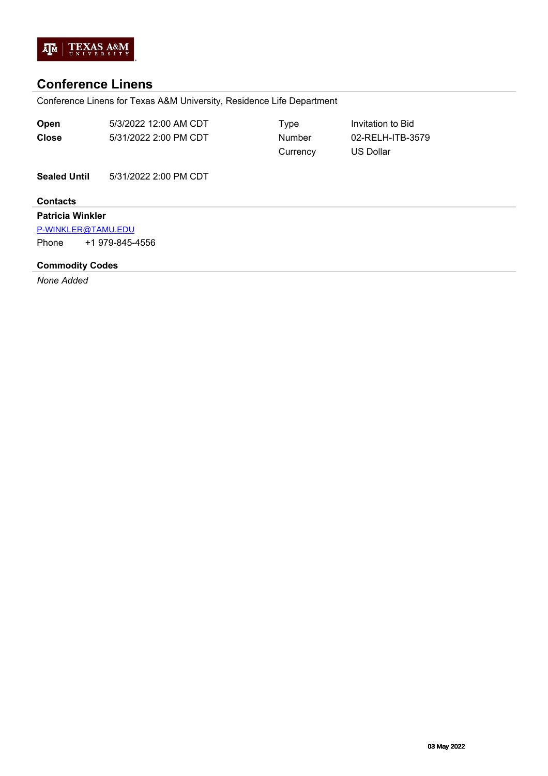

## **Conference Linens**

Conference Linens for Texas A&M University, Residence Life Department

| Open                          | 5/3/2022 12:00 AM CDT | Type          | Invitation to Bid |  |  |  |  |  |  |  |
|-------------------------------|-----------------------|---------------|-------------------|--|--|--|--|--|--|--|
| <b>Close</b>                  | 5/31/2022 2:00 PM CDT | <b>Number</b> | 02-RELH-ITB-3579  |  |  |  |  |  |  |  |
|                               |                       | Currency      | <b>US Dollar</b>  |  |  |  |  |  |  |  |
| <b>Sealed Until</b>           | 5/31/2022 2:00 PM CDT |               |                   |  |  |  |  |  |  |  |
| <b>Contacts</b>               |                       |               |                   |  |  |  |  |  |  |  |
| <b>Patricia Winkler</b>       |                       |               |                   |  |  |  |  |  |  |  |
| P-WINKLER@TAMU.EDU            |                       |               |                   |  |  |  |  |  |  |  |
| +1 979-845-4556<br>Phone      |                       |               |                   |  |  |  |  |  |  |  |
| <b>Commodity Codes</b>        |                       |               |                   |  |  |  |  |  |  |  |
| $\mathbf{A}$ and $\mathbf{A}$ |                       |               |                   |  |  |  |  |  |  |  |

*None Added*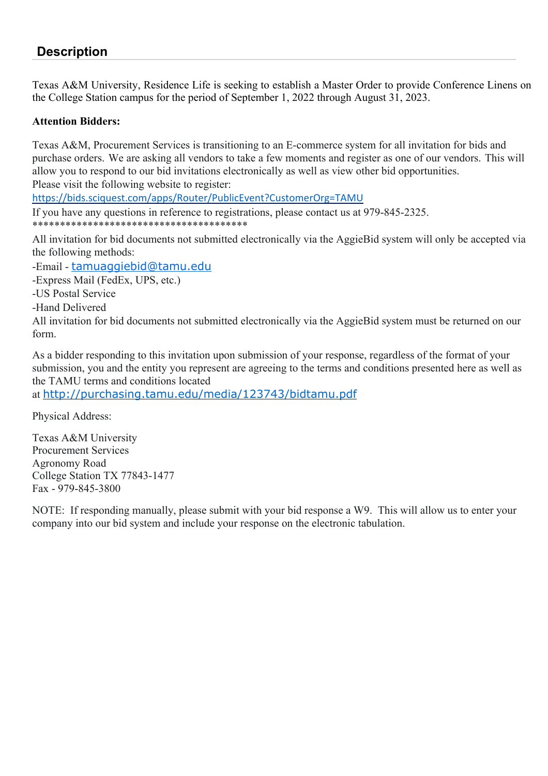# **Description**

Texas A&M University, Residence Life is seeking to establish a Master Order to provide Conference Linens on the College Station campus for the period of September 1, 2022 through August 31, 2023.

#### **Attention Bidders:**

Texas A&M, Procurement Services is transitioning to an E-commerce system for all invitation for bids and purchase orders. We are asking all vendors to take a few moments and register as one of our vendors. This will allow you to respond to our bid invitations electronically as well as view other bid opportunities. Please visit the following website to register:

<https://bids.sciquest.com/apps/Router/PublicEvent?CustomerOrg=TAMU>

If you have any questions in reference to registrations, please contact us at 979-845-2325. \*\*\*\*\*\*\*\*\*\*\*\*\*\*\*\*\*\*\*\*\*\*\*\*\*\*\*\*\*\*\*\*\*\*\*\*\*\*\*

All invitation for bid documents not submitted electronically via the AggieBid system will only be accepted via the following methods:

-Email - [tamuaggiebid@tamu.edu](mailto:tamuaggiebid@tamu.edu)

-Express Mail (FedEx, UPS, etc.)

-US Postal Service

-Hand Delivered

All invitation for bid documents not submitted electronically via the AggieBid system must be returned on our form.

As a bidder responding to this invitation upon submission of your response, regardless of the format of your submission, you and the entity you represent are agreeing to the terms and conditions presented here as well as the TAMU terms and conditions located

at <http://purchasing.tamu.edu/media/123743/bidtamu.pdf>

Physical Address:

Texas A&M University Procurement Services Agronomy Road College Station TX 77843-1477 Fax - 979-845-3800

NOTE: If responding manually, please submit with your bid response a W9. This will allow us to enter your company into our bid system and include your response on the electronic tabulation.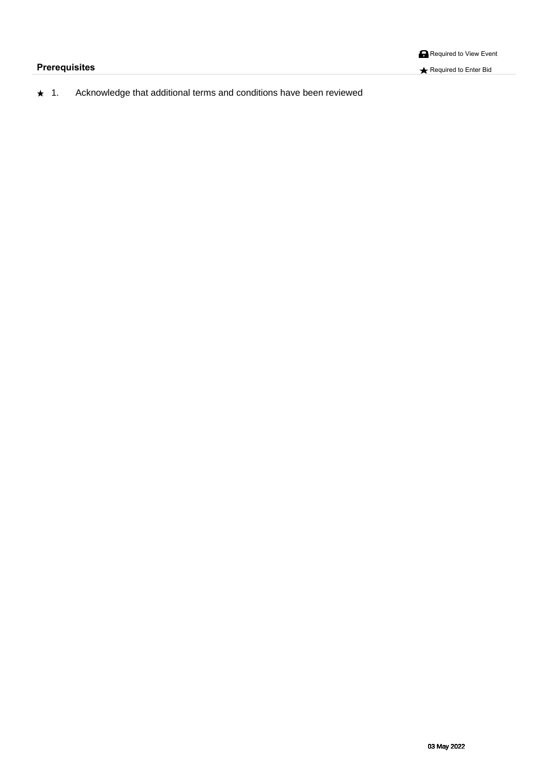**R** Required to View Event

**Prerequisites Required to Enter Bid** 

```
FÉ OB&\}[¸Må*^AolOenoAnaåãña[}æokAc^}{ ●Ana}åÆko{}åãña[}●AO2naç^Aà^^}A^çã^¸^å
I
```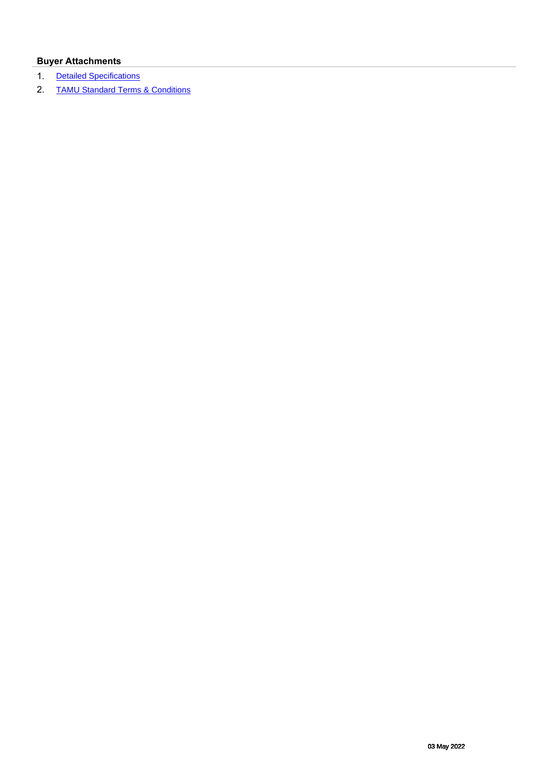### **Buyer Attachments**

- 1. [Detailed Specifications](https://s3.amazonaws.com/solutions-selectsite-documents/Sourcingevent/1073584-124545567402-RELH-ITB-3579.docx?AWSAccessKeyId=AKIAJ5HNJE5DFBZ5ONSA&Expires=1714661890&Signature=06MH9RYRBclXaUcAxYezOXEVdOM%3D)
- 2. [TAMU Standard Terms & Conditions](https://purchasing.tamu.edu/_media/tamu-bid-terms1.pdf)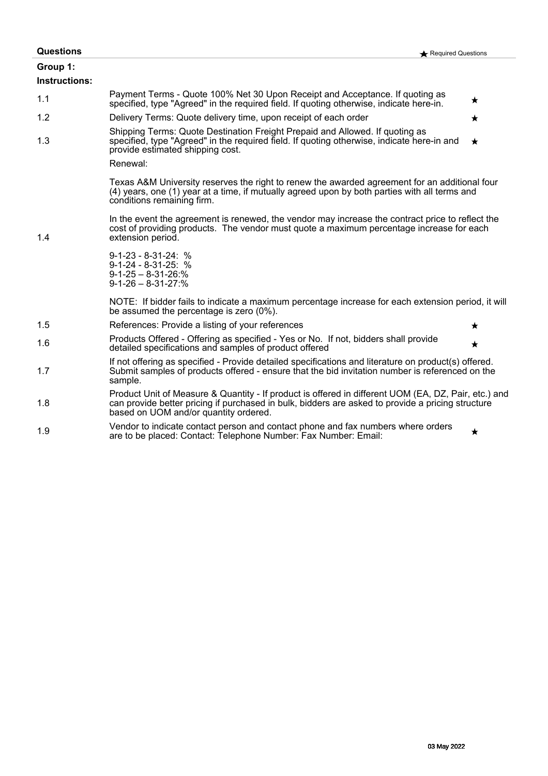| <b>Questions</b>          | Required Questions                                                                                                                                                                                                                                 |         |  |  |  |  |  |
|---------------------------|----------------------------------------------------------------------------------------------------------------------------------------------------------------------------------------------------------------------------------------------------|---------|--|--|--|--|--|
| Group 1:<br>Instructions: |                                                                                                                                                                                                                                                    |         |  |  |  |  |  |
| 1.1                       | Payment Terms - Quote 100% Net 30 Upon Receipt and Acceptance. If quoting as<br>specified, type "Agreed" in the required field. If quoting otherwise, indicate here-in.                                                                            | $\star$ |  |  |  |  |  |
| 1.2                       | Delivery Terms: Quote delivery time, upon receipt of each order                                                                                                                                                                                    | $\star$ |  |  |  |  |  |
| 1.3                       | Shipping Terms: Quote Destination Freight Prepaid and Allowed. If quoting as<br>specified, type "Agreed" in the required field. If quoting otherwise, indicate here-in and<br>provide estimated shipping cost.<br>Renewal:                         | $\star$ |  |  |  |  |  |
|                           | Texas A&M University reserves the right to renew the awarded agreement for an additional four<br>(4) years, one (1) year at a time, if mutually agreed upon by both parties with all terms and<br>conditions remaining firm.                       |         |  |  |  |  |  |
| 1.4                       | In the event the agreement is renewed, the vendor may increase the contract price to reflect the<br>cost of providing products. The vendor must quote a maximum percentage increase for each<br>extension period.                                  |         |  |  |  |  |  |
|                           | $9-1-23 - 8-31-24$ : %<br>$9-1-24 - 8-31-25$ : %<br>$9 - 1 - 25 - 8 - 31 - 26$ :%<br>$9 - 1 - 26 - 8 - 31 - 27$ :%                                                                                                                                 |         |  |  |  |  |  |
|                           | NOTE: If bidder fails to indicate a maximum percentage increase for each extension period, it will<br>be assumed the percentage is zero (0%).                                                                                                      |         |  |  |  |  |  |
| 1.5                       | References: Provide a listing of your references                                                                                                                                                                                                   | $\star$ |  |  |  |  |  |
| 1.6                       | Products Offered - Offering as specified - Yes or No. If not, bidders shall provide<br>detailed specifications and samples of product offered                                                                                                      | $\star$ |  |  |  |  |  |
| 1.7                       | If not offering as specified - Provide detailed specifications and literature on product(s) offered.<br>Submit samples of products offered - ensure that the bid invitation number is referenced on the<br>sample.                                 |         |  |  |  |  |  |
| 1.8                       | Product Unit of Measure & Quantity - If product is offered in different UOM (EA, DZ, Pair, etc.) and<br>can provide better pricing if purchased in bulk, bidders are asked to provide a pricing structure<br>based on UOM and/or quantity ordered. |         |  |  |  |  |  |
| 1.9                       | Vendor to indicate contact person and contact phone and fax numbers where orders<br>are to be placed: Contact: Telephone Number: Fax Number: Email:                                                                                                | $\star$ |  |  |  |  |  |
|                           |                                                                                                                                                                                                                                                    |         |  |  |  |  |  |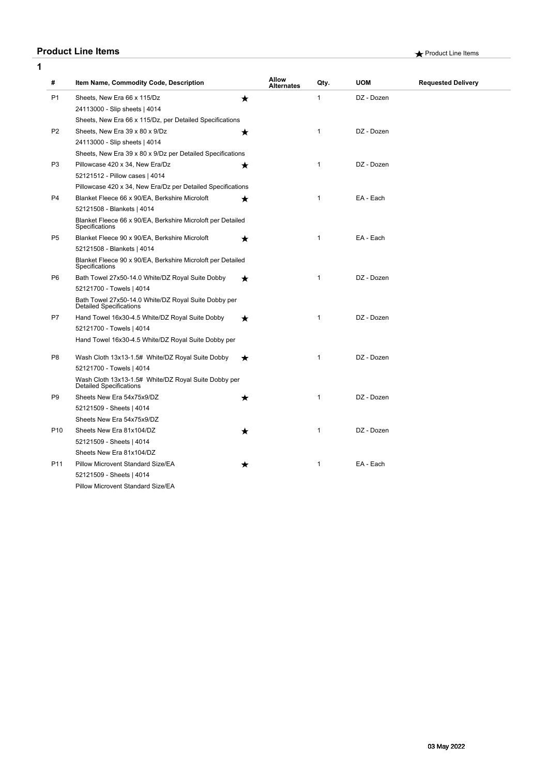### **Product Line Items A** Product Line Items

| 1               |                                   |                                                                                        |   |                                   |              |            |                           |
|-----------------|-----------------------------------|----------------------------------------------------------------------------------------|---|-----------------------------------|--------------|------------|---------------------------|
|                 | #                                 | Item Name, Commodity Code, Description                                                 |   | <b>Allow</b><br><b>Alternates</b> | Qty.         | <b>UOM</b> | <b>Requested Delivery</b> |
| P1              |                                   | Sheets, New Era 66 x 115/Dz                                                            | ★ |                                   | $\mathbf{1}$ | DZ - Dozen |                           |
|                 |                                   | 24113000 - Slip sheets   4014                                                          |   |                                   |              |            |                           |
|                 |                                   | Sheets, New Era 66 x 115/Dz, per Detailed Specifications                               |   |                                   |              |            |                           |
|                 | P <sub>2</sub>                    | Sheets, New Era 39 x 80 x 9/Dz                                                         | ★ |                                   | $\mathbf{1}$ | DZ - Dozen |                           |
|                 |                                   | 24113000 - Slip sheets   4014                                                          |   |                                   |              |            |                           |
|                 |                                   | Sheets, New Era 39 x 80 x 9/Dz per Detailed Specifications                             |   |                                   |              |            |                           |
| P <sub>3</sub>  |                                   | Pillowcase 420 x 34, New Era/Dz                                                        | ★ |                                   | 1            | DZ - Dozen |                           |
|                 |                                   | 52121512 - Pillow cases   4014                                                         |   |                                   |              |            |                           |
|                 |                                   | Pillowcase 420 x 34, New Era/Dz per Detailed Specifications                            |   |                                   |              |            |                           |
|                 | <b>P4</b>                         | Blanket Fleece 66 x 90/EA, Berkshire Microloft                                         | ★ |                                   | 1            | EA - Each  |                           |
|                 |                                   | 52121508 - Blankets   4014                                                             |   |                                   |              |            |                           |
|                 |                                   | Blanket Fleece 66 x 90/EA, Berkshire Microloft per Detailed<br>Specifications          |   |                                   |              |            |                           |
|                 | P <sub>5</sub>                    | Blanket Fleece 90 x 90/EA, Berkshire Microloft                                         | ★ |                                   | $\mathbf{1}$ | EA - Each  |                           |
|                 |                                   | 52121508 - Blankets   4014                                                             |   |                                   |              |            |                           |
|                 |                                   | Blanket Fleece 90 x 90/EA, Berkshire Microloft per Detailed<br>Specifications          |   |                                   |              |            |                           |
|                 | P <sub>6</sub>                    | Bath Towel 27x50-14.0 White/DZ Royal Suite Dobby                                       | ★ |                                   | 1            | DZ - Dozen |                           |
|                 |                                   | 52121700 - Towels   4014                                                               |   |                                   |              |            |                           |
|                 |                                   | Bath Towel 27x50-14.0 White/DZ Royal Suite Dobby per<br><b>Detailed Specifications</b> |   |                                   |              |            |                           |
|                 | P7                                | Hand Towel 16x30-4.5 White/DZ Royal Suite Dobby                                        | ★ |                                   | $\mathbf{1}$ | DZ - Dozen |                           |
|                 |                                   | 52121700 - Towels   4014                                                               |   |                                   |              |            |                           |
|                 |                                   | Hand Towel 16x30-4.5 White/DZ Royal Suite Dobby per                                    |   |                                   |              |            |                           |
| P <sub>8</sub>  |                                   | Wash Cloth 13x13-1.5# White/DZ Royal Suite Dobby                                       | ★ |                                   | $\mathbf{1}$ | DZ - Dozen |                           |
|                 | 52121700 - Towels   4014          |                                                                                        |   |                                   |              |            |                           |
|                 |                                   | Wash Cloth 13x13-1.5# White/DZ Royal Suite Dobby per<br><b>Detailed Specifications</b> |   |                                   |              |            |                           |
|                 | P <sub>9</sub>                    | Sheets New Era 54x75x9/DZ                                                              | ★ |                                   | 1            | DZ - Dozen |                           |
|                 |                                   | 52121509 - Sheets   4014                                                               |   |                                   |              |            |                           |
|                 | Sheets New Era 54x75x9/DZ         |                                                                                        |   |                                   |              |            |                           |
| P <sub>10</sub> |                                   | Sheets New Era 81x104/DZ                                                               | ★ |                                   | 1            | DZ - Dozen |                           |
|                 |                                   | 52121509 - Sheets   4014                                                               |   |                                   |              |            |                           |
|                 | Sheets New Era 81x104/DZ          |                                                                                        |   |                                   |              |            |                           |
|                 | P11                               | Pillow Microvent Standard Size/EA                                                      | ★ |                                   | $\mathbf{1}$ | EA - Each  |                           |
|                 | 52121509 - Sheets   4014          |                                                                                        |   |                                   |              |            |                           |
|                 | Pillow Microvent Standard Size/EA |                                                                                        |   |                                   |              |            |                           |